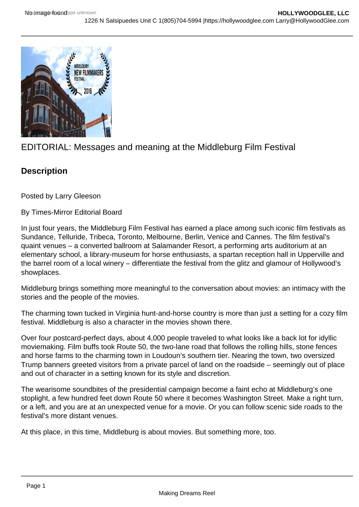

# EDITORIAL: Messages and meaning at the Middleburg Film Festival

# **Description**

Posted by Larry Gleeson

By Times-Mirror Editorial Board

In just four years, the Middleburg Film Festival has earned a place among such iconic film festivals as Sundance, Telluride, Tribeca, Toronto, Melbourne, Berlin, Venice and Cannes. The film festival's quaint venues – a converted ballroom at Salamander Resort, a performing arts auditorium at an elementary school, a library-museum for horse enthusiasts, a spartan reception hall in Upperville and the barrel room of a local winery – differentiate the festival from the glitz and glamour of Hollywood's showplaces.

Middleburg brings something more meaningful to the conversation about movies: an intimacy with the stories and the people of the movies.

The charming town tucked in Virginia hunt-and-horse country is more than just a setting for a cozy film festival. Middleburg is also a character in the movies shown there.

Over four postcard-perfect days, about 4,000 people traveled to what looks like a back lot for idyllic moviemaking. Film buffs took Route 50, the two-lane road that follows the rolling hills, stone fences and horse farms to the charming town in Loudoun's southern tier. Nearing the town, two oversized Trump banners greeted visitors from a private parcel of land on the roadside – seemingly out of place and out of character in a setting known for its style and discretion.

The wearisome soundbites of the presidential campaign become a faint echo at Middleburg's one stoplight, a few hundred feet down Route 50 where it becomes Washington Street. Make a right turn, or a left, and you are at an unexpected venue for a movie. Or you can follow scenic side roads to the festival's more distant venues.

At this place, in this time, Middleburg is about movies. But something more, too.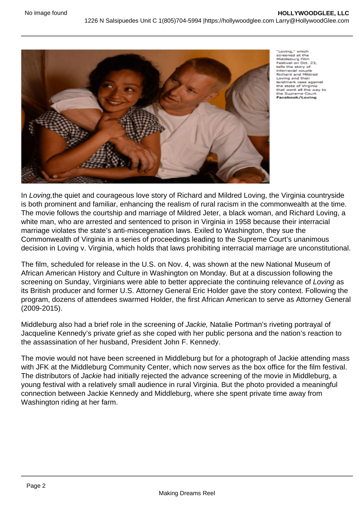

'Loving.' screened at the<br>Middleburg Film Middleburg Film<br>Festival on Oct. 23, tells the story of interracial couple<br>Richard and Mildred Loving and their landmark case against the state of Virginia<br>that went all the way to the Supreme Court Facebook/Loving

In Loving,the quiet and courageous love story of Richard and Mildred Loving, the Virginia countryside is both prominent and familiar, enhancing the realism of rural racism in the commonwealth at the time. The movie follows the courtship and marriage of Mildred Jeter, a black woman, and Richard Loving, a white man, who are arrested and sentenced to prison in Virginia in 1958 because their interracial marriage violates the state's anti-miscegenation laws. Exiled to Washington, they sue the Commonwealth of Virginia in a series of proceedings leading to the Supreme Court's unanimous decision in Loving v. Virginia, which holds that laws prohibiting interracial marriage are unconstitutional.

The film, scheduled for release in the U.S. on Nov. 4, was shown at the new National Museum of African American History and Culture in Washington on Monday. But at a discussion following the screening on Sunday, Virginians were able to better appreciate the continuing relevance of Loving as its British producer and former U.S. Attorney General Eric Holder gave the story context. Following the program, dozens of attendees swarmed Holder, the first African American to serve as Attorney General (2009-2015).

Middleburg also had a brief role in the screening of Jackie, Natalie Portman's riveting portrayal of Jacqueline Kennedy's private grief as she coped with her public persona and the nation's reaction to the assassination of her husband, President John F. Kennedy.

The movie would not have been screened in Middleburg but for a photograph of Jackie attending mass with JFK at the Middleburg Community Center, which now serves as the box office for the film festival. The distributors of Jackie had initially rejected the advance screening of the movie in Middleburg, a young festival with a relatively small audience in rural Virginia. But the photo provided a meaningful connection between Jackie Kennedy and Middleburg, where she spent private time away from Washington riding at her farm.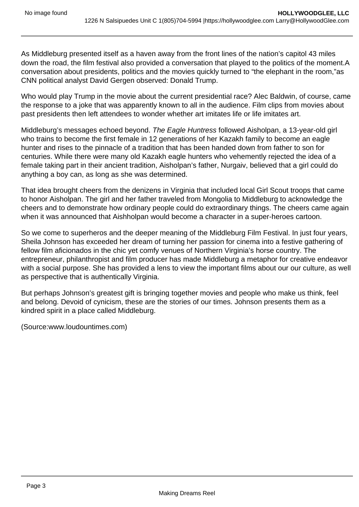As Middleburg presented itself as a haven away from the front lines of the nation's capitol 43 miles down the road, the film festival also provided a conversation that played to the politics of the moment.A conversation about presidents, politics and the movies quickly turned to "the elephant in the room,"as CNN political analyst David Gergen observed: Donald Trump.

Who would play Trump in the movie about the current presidential race? Alec Baldwin, of course, came the response to a joke that was apparently known to all in the audience. Film clips from movies about past presidents then left attendees to wonder whether art imitates life or life imitates art.

Middleburg's messages echoed beyond. The Eagle Huntress followed Aisholpan, a 13-year-old girl who trains to become the first female in 12 generations of her Kazakh family to become an eagle hunter and rises to the pinnacle of a tradition that has been handed down from father to son for centuries. While there were many old Kazakh eagle hunters who vehemently rejected the idea of a female taking part in their ancient tradition, Aisholpan's father, Nurgaiv, believed that a girl could do anything a boy can, as long as she was determined.

That idea brought cheers from the denizens in Virginia that included local Girl Scout troops that came to honor Aisholpan. The girl and her father traveled from Mongolia to Middleburg to acknowledge the cheers and to demonstrate how ordinary people could do extraordinary things. The cheers came again when it was announced that Aishholpan would become a character in a super-heroes cartoon.

So we come to superheros and the deeper meaning of the Middleburg Film Festival. In just four years, Sheila Johnson has exceeded her dream of turning her passion for cinema into a festive gathering of fellow film aficionados in the chic yet comfy venues of Northern Virginia's horse country. The entrepreneur, philanthropist and film producer has made Middleburg a metaphor for creative endeavor with a social purpose. She has provided a lens to view the important films about our our culture, as well as perspective that is authentically Virginia.

But perhaps Johnson's greatest gift is bringing together movies and people who make us think, feel and belong. Devoid of cynicism, these are the stories of our times. Johnson presents them as a kindred spirit in a place called Middleburg.

(Source:www.loudountimes.com)